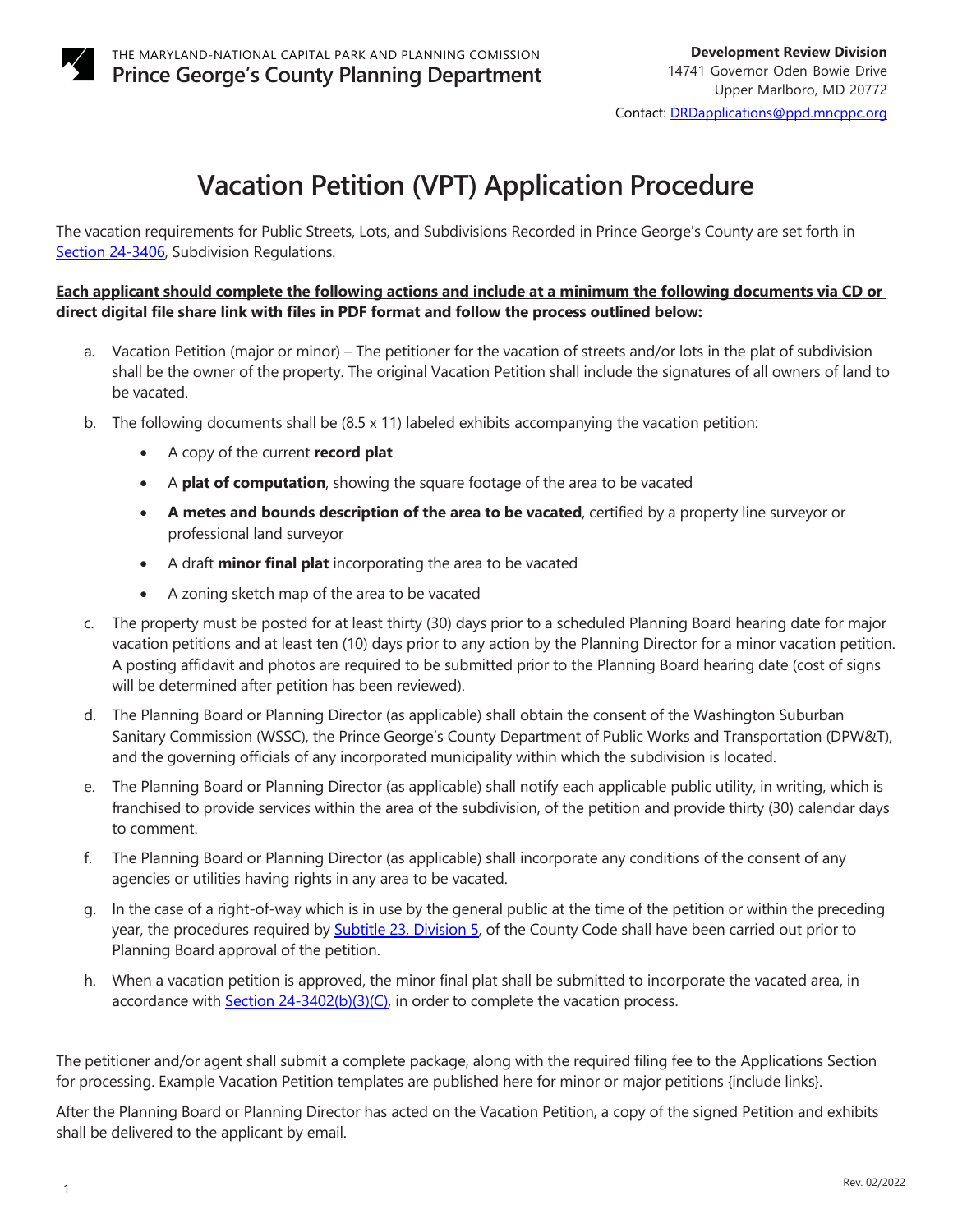

# **Vacation Petition (VPT) Application Procedure**

The vacation requirements for Public Streets, Lots, and Subdivisions Recorded in Prince George's County are set forth in [Section 24-3406,](https://online.encodeplus.com/regs/princegeorgescounty-md/doc-viewer.aspx#secid-1015) Subdivision Regulations.

# **Each applicant should complete the following actions and include at a minimum the following documents via CD or direct digital file share link with files in PDF format and follow the process outlined below:**

- a. Vacation Petition (major or minor) The petitioner for the vacation of streets and/or lots in the plat of subdivision shall be the owner of the property. The original Vacation Petition shall include the signatures of all owners of land to be vacated.
- b. The following documents shall be (8.5 x 11) labeled exhibits accompanying the vacation petition:
	- A copy of the current **record plat**
	- A **plat of computation**, showing the square footage of the area to be vacated
	- **A metes and bounds description of the area to be vacated**, certified by a property line surveyor or professional land surveyor
	- A draft **minor final plat** incorporating the area to be vacated
	- A zoning sketch map of the area to be vacated
- c. The property must be posted for at least thirty (30) days prior to a scheduled Planning Board hearing date for major vacation petitions and at least ten (10) days prior to any action by the Planning Director for a minor vacation petition. A posting affidavit and photos are required to be submitted prior to the Planning Board hearing date (cost of signs will be determined after petition has been reviewed).
- d. The Planning Board or Planning Director (as applicable) shall obtain the consent of the Washington Suburban Sanitary Commission (WSSC), the Prince George's County Department of Public Works and Transportation (DPW&T), and the governing officials of any incorporated municipality within which the subdivision is located.
- e. The Planning Board or Planning Director (as applicable) shall notify each applicable public utility, in writing, which is franchised to provide services within the area of the subdivision, of the petition and provide thirty (30) calendar days to comment.
- f. The Planning Board or Planning Director (as applicable) shall incorporate any conditions of the consent of any agencies or utilities having rights in any area to be vacated.
- g. In the case of a right-of-way which is in use by the general public at the time of the petition or within the preceding year, the procedures required by [Subtitle 23, Division 5,](https://library.municode.com/md/prince_george) of the County Code shall have been carried out prior to Planning Board approval of the petition.
- h. When a vacation petition is approved, the minor final plat shall be submitted to incorporate the vacated area, in accordance with **Section 24-3402(b)(3)(C)**, in order to complete the vacation process.

The petitioner and/or agent shall submit a complete package, along with the required filing fee to the Applications Section for processing. Example Vacation Petition templates are published here for minor or major petitions {include links}.

After the Planning Board or Planning Director has acted on the Vacation Petition, a copy of the signed Petition and exhibits shall be delivered to the applicant by email.